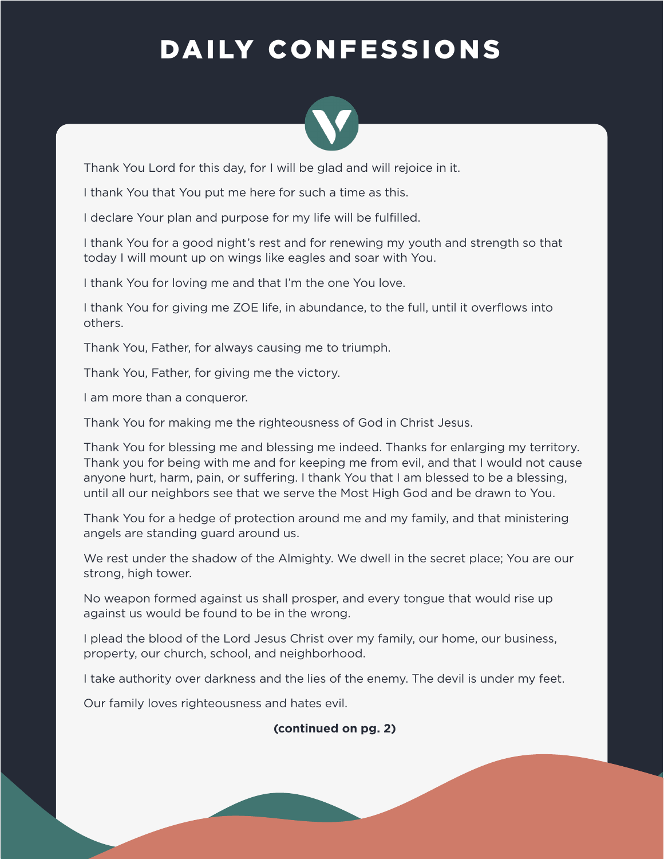## DAILY CONFESSIONS



Thank You Lord for this day, for I will be glad and will rejoice in it.

I thank You that You put me here for such a time as this.

I declare Your plan and purpose for my life will be fulfilled.

I thank You for a good night's rest and for renewing my youth and strength so that today I will mount up on wings like eagles and soar with You.

I thank You for loving me and that I'm the one You love.

I thank You for giving me ZOE life, in abundance, to the full, until it overflows into others.

Thank You, Father, for always causing me to triumph.

Thank You, Father, for giving me the victory.

I am more than a conqueror.

Thank You for making me the righteousness of God in Christ Jesus.

Thank You for blessing me and blessing me indeed. Thanks for enlarging my territory. Thank you for being with me and for keeping me from evil, and that I would not cause anyone hurt, harm, pain, or suffering. I thank You that I am blessed to be a blessing, until all our neighbors see that we serve the Most High God and be drawn to You.

Thank You for a hedge of protection around me and my family, and that ministering angels are standing guard around us.

We rest under the shadow of the Almighty. We dwell in the secret place; You are our strong, high tower.

No weapon formed against us shall prosper, and every tongue that would rise up against us would be found to be in the wrong.

I plead the blood of the Lord Jesus Christ over my family, our home, our business, property, our church, school, and neighborhood.

I take authority over darkness and the lies of the enemy. The devil is under my feet.

Our family loves righteousness and hates evil.

## **(continued on pg. 2)**